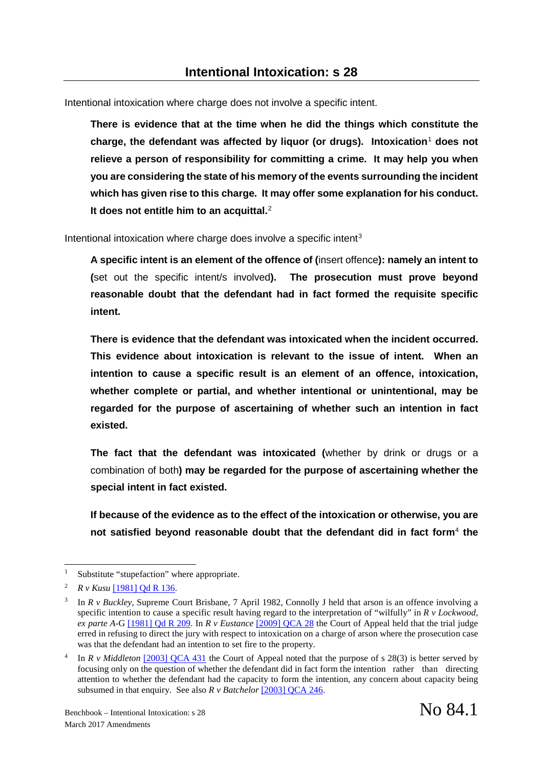Intentional intoxication where charge does not involve a specific intent.

**There is evidence that at the time when he did the things which constitute the charge, the defendant was affected by liquor (or drugs). Intoxication**[1](#page-0-0) **does not relieve a person of responsibility for committing a crime. It may help you when you are considering the state of his memory of the events surrounding the incident which has given rise to this charge. It may offer some explanation for his conduct. It does not entitle him to an acquittal.**[2](#page-0-1)

Intentional intoxication where charge does involve a specific intent<sup>[3](#page-0-2)</sup>

**A specific intent is an element of the offence of (**insert offence**): namely an intent to (**set out the specific intent/s involved**). The prosecution must prove beyond reasonable doubt that the defendant had in fact formed the requisite specific intent.**

**There is evidence that the defendant was intoxicated when the incident occurred. This evidence about intoxication is relevant to the issue of intent. When an intention to cause a specific result is an element of an offence, intoxication, whether complete or partial, and whether intentional or unintentional, may be regarded for the purpose of ascertaining of whether such an intention in fact existed.** 

**The fact that the defendant was intoxicated (**whether by drink or drugs or a combination of both**) may be regarded for the purpose of ascertaining whether the special intent in fact existed.** 

**If because of the evidence as to the effect of the intoxication or otherwise, you are not satisfied beyond reasonable doubt that the defendant did in fact form**[4](#page-0-3) **the** 

-

<span id="page-0-0"></span>Substitute "stupefaction" where appropriate.

<span id="page-0-1"></span><sup>2</sup> *R v Kusu* [\[1981\] Qd R 136.](http://0-www.lexisnexis.com.catalogue.sclqld.org.au/au/legal/results/docview/attachRetrieve.do?csi=267696&A=0.9226442044815946&ersKey=23_T25175602096&urlEnc=ISO-8859-1&inline=y&smi=17320&componentseq=1&key=4FR2-V190-TWGM-J0K4-00000-00&type=pdf&displayType=full_pdf&lni=4FR2-V190-TWGM-J0K4&docTitle=R.%20v%20KUSU%20-%20%5b1981%5d%20Qd%20R%20136%20-%2019%20December%201980&altRendition=Y)

<span id="page-0-2"></span><sup>3</sup> In *R v Buckley*, Supreme Court Brisbane, 7 April 1982, Connolly J held that arson is an offence involving a specific intention to cause a specific result having regard to the interpretation of "wilfully" in *R v Lockwood, ex parte A-*G [\[1981\] Qd R 209.](http://0-www.lexisnexis.com.catalogue.sclqld.org.au/au/legal/results/docview/attachRetrieve.do?csi=267696&A=0.6127113900592667&ersKey=23_T25175609269&urlEnc=ISO-8859-1&inline=y&smi=17320&componentseq=1&key=4FR2-V190-TWGM-J16M-00000-00&type=pdf&displayType=full_pdf&lni=4FR2-V190-TWGM-J16M&docTitle=R.%20v%20LOCKWOOD,%20ex%20parte%20ATTORNEY-GENERAL%20-%20%5b1981%5d%20Qd%20R%20209%20-%2019%20December%201980&altRendition=Y) In *R v Eustance* [\[2009\] QCA 28](http://archive.sclqld.org.au/qjudgment/2009/QCA09-028.pdf) the Court of Appeal held that the trial judge erred in refusing to direct the jury with respect to intoxication on a charge of arson where the prosecution case was that the defendant had an intention to set fire to the property.

<span id="page-0-3"></span>In *R v Middleton* [\[2003\] QCA 431](http://archive.sclqld.org.au/qjudgment/2003/QCA03-431.pdf) the Court of Appeal noted that the purpose of s 28(3) is better served by focusing only on the question of whether the defendant did in fact form the intention rather than directing attention to whether the defendant had the capacity to form the intention, any concern about capacity being subsumed in that enquiry. See also *R v Batchelor* [\[2003\] QCA 246.](http://archive.sclqld.org.au/qjudgment/2003/QCA03-246.pdf)